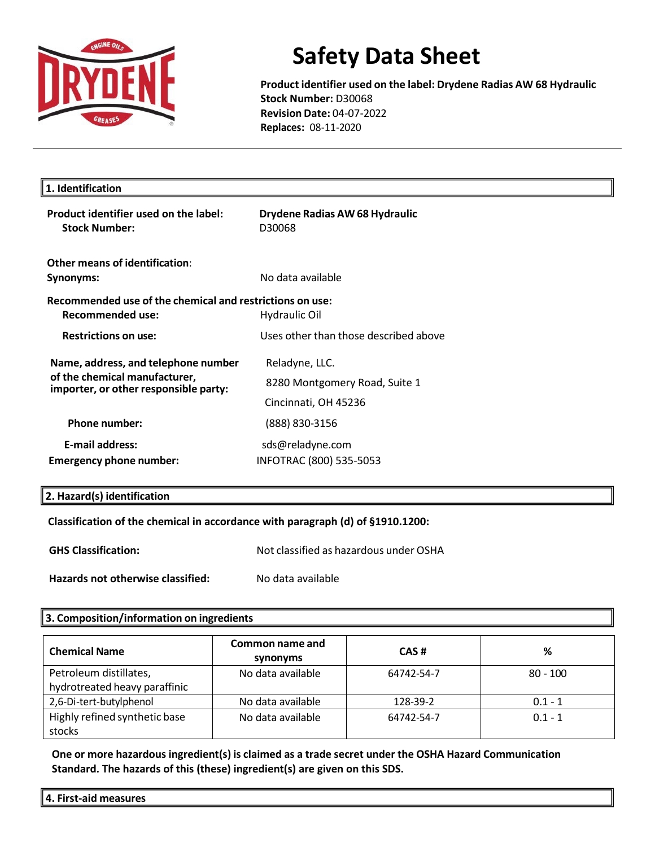

**Product identifier used on the label: Drydene Radias AW 68 Hydraulic Stock Number:** D30068 **Revision Date:** 04-07-2022 **Replaces:** 08-11-2020

| 1. Identification                                                      |                                          |  |
|------------------------------------------------------------------------|------------------------------------------|--|
| Product identifier used on the label:<br><b>Stock Number:</b>          | Drydene Radias AW 68 Hydraulic<br>D30068 |  |
| Other means of identification:                                         |                                          |  |
| Synonyms:                                                              | No data available                        |  |
| Recommended use of the chemical and restrictions on use:               |                                          |  |
| <b>Recommended use:</b>                                                | <b>Hydraulic Oil</b>                     |  |
| <b>Restrictions on use:</b>                                            | Uses other than those described above    |  |
| Name, address, and telephone number                                    | Reladyne, LLC.                           |  |
| of the chemical manufacturer,<br>importer, or other responsible party: | 8280 Montgomery Road, Suite 1            |  |
|                                                                        | Cincinnati, OH 45236                     |  |
| <b>Phone number:</b>                                                   | (888) 830-3156                           |  |
| <b>E-mail address:</b>                                                 | sds@reladyne.com                         |  |
| Emergency phone number:                                                | INFOTRAC (800) 535-5053                  |  |

#### **2. Hazard(s) identification**

**Classification of the chemical in accordance with paragraph (d) of §1910.1200:** 

**GHS Classification:** Not classified as hazardous under OSHA

**Hazards not otherwise classified:** No data available

#### **3. Composition/information on ingredients**

| <b>Chemical Name</b>                    | Common name and<br>synonyms | CAS#       | %          |
|-----------------------------------------|-----------------------------|------------|------------|
| Petroleum distillates,                  | No data available           | 64742-54-7 | $80 - 100$ |
| hydrotreated heavy paraffinic           |                             |            |            |
| 2,6-Di-tert-butylphenol                 | No data available           | 128-39-2   | $0.1 - 1$  |
| Highly refined synthetic base<br>stocks | No data available           | 64742-54-7 | $0.1 - 1$  |

**One or more hazardous ingredient(s) is claimed as a trade secret under the OSHA Hazard Communication Standard. The hazards of this (these) ingredient(s) are given on this SDS.**

**4. First-aid measures**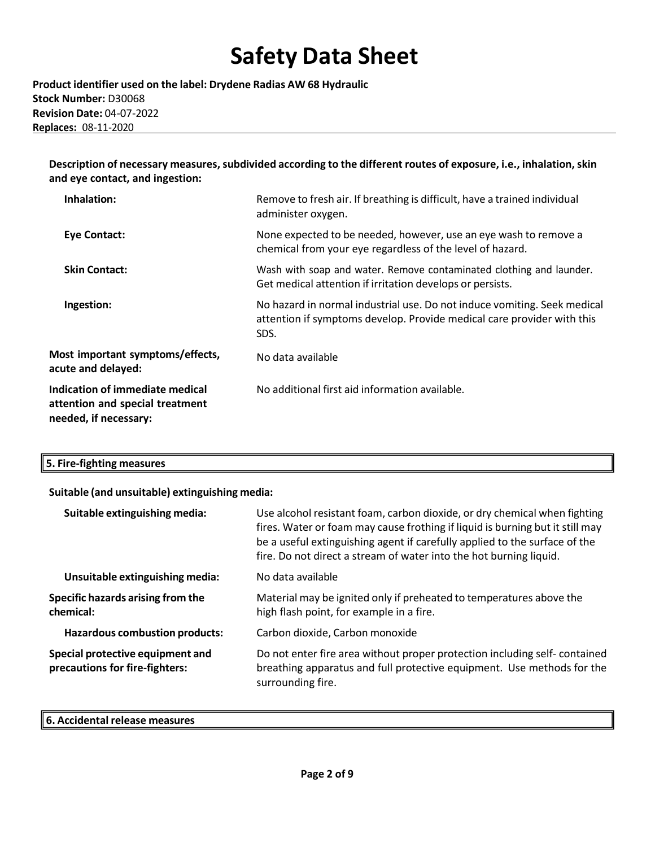**Product identifier used on the label: Drydene Radias AW 68 Hydraulic Stock Number:** D30068 **Revision Date:** 04-07-2022 **Replaces:** 08-11-2020

**Description of necessary measures,subdivided according to the different routes of exposure, i.e., inhalation,skin and eye contact, and ingestion:**

| Inhalation:                                                                                 | Remove to fresh air. If breathing is difficult, have a trained individual<br>administer oxygen.                                                            |
|---------------------------------------------------------------------------------------------|------------------------------------------------------------------------------------------------------------------------------------------------------------|
| <b>Eye Contact:</b>                                                                         | None expected to be needed, however, use an eye wash to remove a<br>chemical from your eye regardless of the level of hazard.                              |
| <b>Skin Contact:</b>                                                                        | Wash with soap and water. Remove contaminated clothing and launder.<br>Get medical attention if irritation develops or persists.                           |
| Ingestion:                                                                                  | No hazard in normal industrial use. Do not induce vomiting. Seek medical<br>attention if symptoms develop. Provide medical care provider with this<br>SDS. |
| Most important symptoms/effects,<br>acute and delayed:                                      | No data available                                                                                                                                          |
| Indication of immediate medical<br>attention and special treatment<br>needed, if necessary: | No additional first aid information available.                                                                                                             |

| 5. Fire-fighting measures |
|---------------------------|
|---------------------------|

#### **Suitable (and unsuitable) extinguishing media:**

| Suitable extinguishing media:                                      | Use alcohol resistant foam, carbon dioxide, or dry chemical when fighting<br>fires. Water or foam may cause frothing if liquid is burning but it still may<br>be a useful extinguishing agent if carefully applied to the surface of the<br>fire. Do not direct a stream of water into the hot burning liquid. |
|--------------------------------------------------------------------|----------------------------------------------------------------------------------------------------------------------------------------------------------------------------------------------------------------------------------------------------------------------------------------------------------------|
| Unsuitable extinguishing media:                                    | No data available                                                                                                                                                                                                                                                                                              |
| Specific hazards arising from the<br>chemical:                     | Material may be ignited only if preheated to temperatures above the<br>high flash point, for example in a fire.                                                                                                                                                                                                |
| <b>Hazardous combustion products:</b>                              | Carbon dioxide, Carbon monoxide                                                                                                                                                                                                                                                                                |
| Special protective equipment and<br>precautions for fire-fighters: | Do not enter fire area without proper protection including self-contained<br>breathing apparatus and full protective equipment. Use methods for the<br>surrounding fire.                                                                                                                                       |

### **6. Accidental release measures**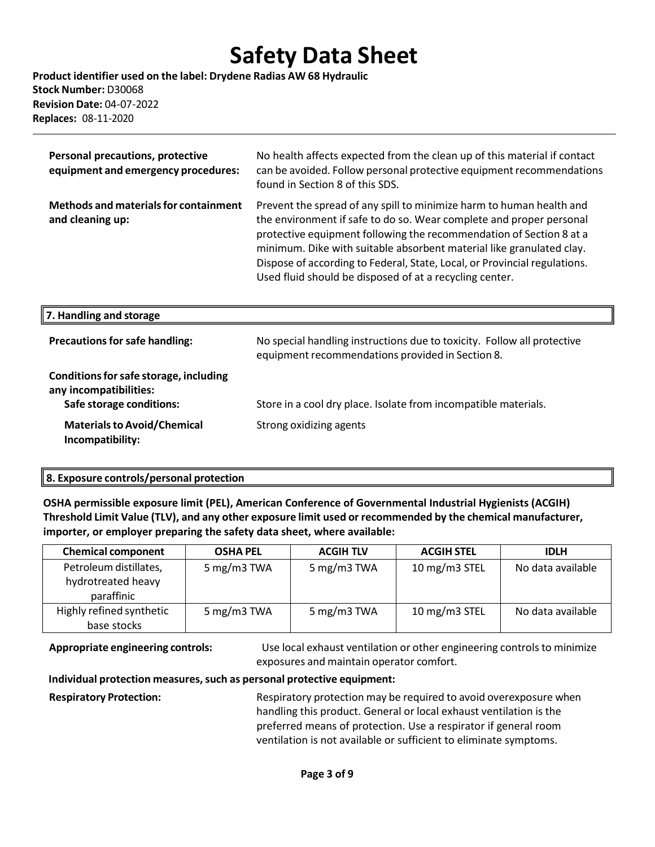**Product identifier used on the label: Drydene Radias AW 68 Hydraulic Stock Number:** D30068 **Revision Date:** 04-07-2022 **Replaces:** 08-11-2020

| Personal precautions, protective<br>equipment and emergency procedures:                      | No health affects expected from the clean up of this material if contact<br>can be avoided. Follow personal protective equipment recommendations<br>found in Section 8 of this SDS.                                                                                                                                                                                                                                                |
|----------------------------------------------------------------------------------------------|------------------------------------------------------------------------------------------------------------------------------------------------------------------------------------------------------------------------------------------------------------------------------------------------------------------------------------------------------------------------------------------------------------------------------------|
| <b>Methods and materials for containment</b><br>and cleaning up:                             | Prevent the spread of any spill to minimize harm to human health and<br>the environment if safe to do so. Wear complete and proper personal<br>protective equipment following the recommendation of Section 8 at a<br>minimum. Dike with suitable absorbent material like granulated clay.<br>Dispose of according to Federal, State, Local, or Provincial regulations.<br>Used fluid should be disposed of at a recycling center. |
| 7. Handling and storage                                                                      |                                                                                                                                                                                                                                                                                                                                                                                                                                    |
| <b>Precautions for safe handling:</b>                                                        | No special handling instructions due to toxicity. Follow all protective<br>equipment recommendations provided in Section 8.                                                                                                                                                                                                                                                                                                        |
| Conditions for safe storage, including<br>any incompatibilities:<br>Safe storage conditions: | Store in a cool dry place. Isolate from incompatible materials.                                                                                                                                                                                                                                                                                                                                                                    |
| <b>Materials to Avoid/Chemical</b><br>Incompatibility:                                       | Strong oxidizing agents                                                                                                                                                                                                                                                                                                                                                                                                            |

#### **8. Exposure controls/personal protection**

**OSHA permissible exposure limit (PEL), American Conference of Governmental Industrial Hygienists (ACGIH) Threshold Limit Value (TLV), and any other exposure limit used or recommended by the chemical manufacturer, importer, or employer preparing the safety data sheet, where available:**

| <b>Chemical component</b>                                  | <b>OSHA PEL</b> | <b>ACGIH TLV</b> | <b>ACGIH STEL</b> | <b>IDLH</b>       |
|------------------------------------------------------------|-----------------|------------------|-------------------|-------------------|
| Petroleum distillates,<br>hydrotreated heavy<br>paraffinic | 5 mg/m3 TWA     | 5 mg/m3 TWA      | 10 mg/m3 STEL     | No data available |
| Highly refined synthetic<br>base stocks                    | 5 mg/m3 TWA     | 5 mg/m3 TWA      | 10 mg/m3 STEL     | No data available |

**Appropriate engineering controls:** Use local exhaust ventilation or other engineering controls to minimize exposures and maintain operator comfort.

#### **Individual protection measures,such as personal protective equipment:**

**Respiratory Protection:** Respiratory protection may be required to avoid overexposure when handling this product. General or local exhaust ventilation is the preferred means of protection. Use a respirator if general room ventilation is not available or sufficient to eliminate symptoms.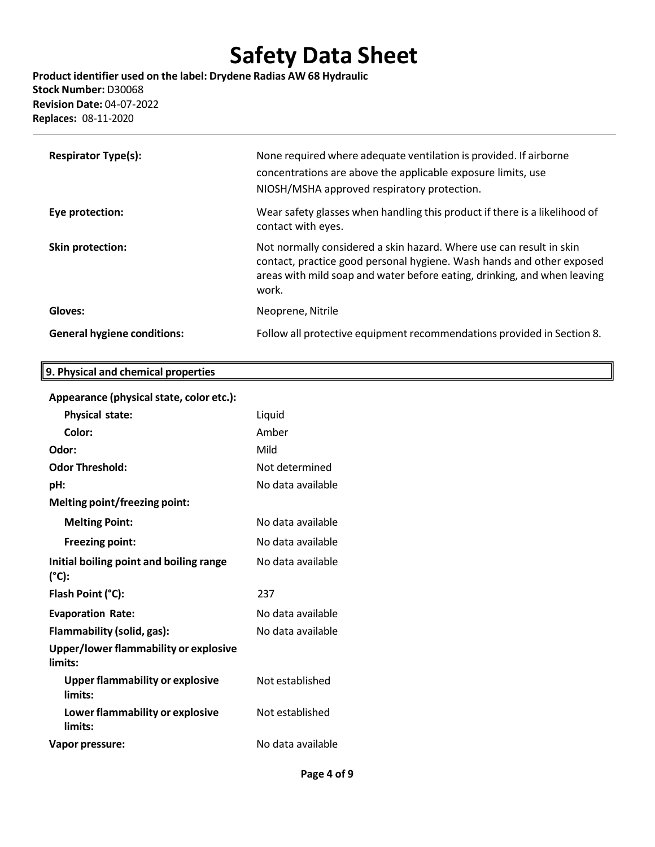**Product identifier used on the label: Drydene Radias AW 68 Hydraulic Stock Number:** D30068 **Revision Date:** 04-07-2022 **Replaces:** 08-11-2020

| <b>Respirator Type(s):</b>         | None required where adequate ventilation is provided. If airborne<br>concentrations are above the applicable exposure limits, use<br>NIOSH/MSHA approved respiratory protection.                                                  |
|------------------------------------|-----------------------------------------------------------------------------------------------------------------------------------------------------------------------------------------------------------------------------------|
| Eye protection:                    | Wear safety glasses when handling this product if there is a likelihood of<br>contact with eyes.                                                                                                                                  |
| Skin protection:                   | Not normally considered a skin hazard. Where use can result in skin<br>contact, practice good personal hygiene. Wash hands and other exposed<br>areas with mild soap and water before eating, drinking, and when leaving<br>work. |
| Gloves:                            | Neoprene, Nitrile                                                                                                                                                                                                                 |
| <b>General hygiene conditions:</b> | Follow all protective equipment recommendations provided in Section 8.                                                                                                                                                            |

# **Appearance (physicalstate, color etc.):**

**9. Physical and chemical properties**

| <b>Physical state:</b>                            | Liquid            |
|---------------------------------------------------|-------------------|
| Color:                                            | Amher             |
| Odor:                                             | Mild              |
| <b>Odor Threshold:</b>                            | Not determined    |
| pH:                                               | No data available |
| <b>Melting point/freezing point:</b>              |                   |
| <b>Melting Point:</b>                             | No data available |
| <b>Freezing point:</b>                            | No data available |
| Initial boiling point and boiling range<br>(°C):  | No data available |
| Flash Point (°C):                                 | 237               |
| <b>Evaporation Rate:</b>                          | No data available |
| Flammability (solid, gas):                        | No data available |
| Upper/lower flammability or explosive<br>limits:  |                   |
| <b>Upper flammability or explosive</b><br>limits: | Not established   |
| Lower flammability or explosive<br>limits:        | Not established   |
| Vapor pressure:                                   | No data available |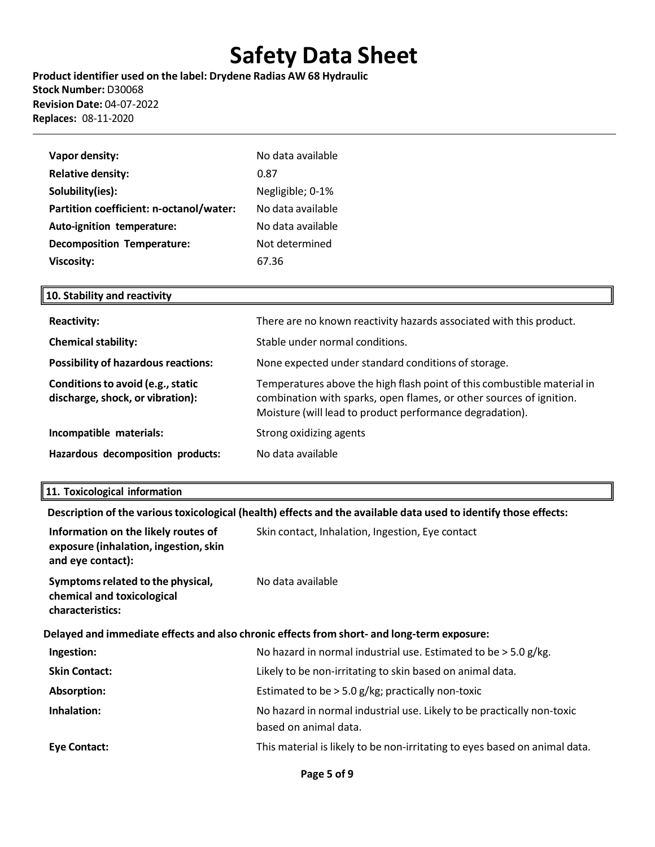**Product identifier used on the label: Drydene Radias AW 68 Hydraulic Stock Number:** D30068 **Revision Date:** 04-07-2022 **Replaces:** 08-11-2020

| Vapor density:                          | No data available |
|-----------------------------------------|-------------------|
| <b>Relative density:</b>                | 0.87              |
| Solubility(ies):                        | Negligible; 0-1%  |
| Partition coefficient: n-octanol/water: | No data available |
| Auto-ignition temperature:              | No data available |
| <b>Decomposition Temperature:</b>       | Not determined    |
| <b>Viscosity:</b>                       | 67.36             |

### **10. Stability and reactivity**

| <b>Reactivity:</b>                                                    | There are no known reactivity hazards associated with this product.                                                                                                                                        |
|-----------------------------------------------------------------------|------------------------------------------------------------------------------------------------------------------------------------------------------------------------------------------------------------|
| <b>Chemical stability:</b>                                            | Stable under normal conditions.                                                                                                                                                                            |
| <b>Possibility of hazardous reactions:</b>                            | None expected under standard conditions of storage.                                                                                                                                                        |
| Conditions to avoid (e.g., static<br>discharge, shock, or vibration): | Temperatures above the high flash point of this combustible material in<br>combination with sparks, open flames, or other sources of ignition.<br>Moisture (will lead to product performance degradation). |
| Incompatible materials:                                               | Strong oxidizing agents                                                                                                                                                                                    |
| Hazardous decomposition products:                                     | No data available                                                                                                                                                                                          |

## **11. Toxicological information**

**Description of the varioustoxicological (health) effects and the available data used to identify those effects:**

| Information on the likely routes of<br>exposure (inhalation, ingestion, skin<br>and eye contact): | Skin contact, Inhalation, Ingestion, Eye contact                                                |  |
|---------------------------------------------------------------------------------------------------|-------------------------------------------------------------------------------------------------|--|
| Symptoms related to the physical,<br>chemical and toxicological<br>characteristics:               | No data available                                                                               |  |
| Delayed and immediate effects and also chronic effects from short- and long-term exposure:        |                                                                                                 |  |
| Ingestion:                                                                                        | No hazard in normal industrial use. Estimated to be $>$ 5.0 g/kg.                               |  |
| <b>Skin Contact:</b>                                                                              | Likely to be non-irritating to skin based on animal data.                                       |  |
| Absorption:                                                                                       | Estimated to be $>$ 5.0 g/kg; practically non-toxic                                             |  |
| Inhalation:                                                                                       | No hazard in normal industrial use. Likely to be practically non-toxic<br>based on animal data. |  |
| Eye Contact:                                                                                      | This material is likely to be non-irritating to eyes based on animal data.                      |  |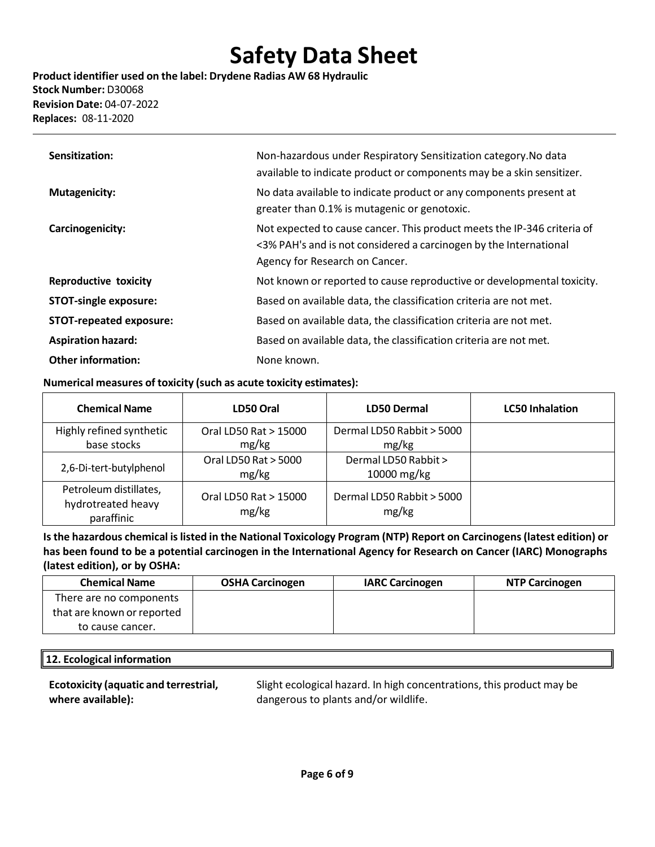**Product identifier used on the label: Drydene Radias AW 68 Hydraulic Stock Number:** D30068 **Revision Date:** 04-07-2022 **Replaces:** 08-11-2020

| Sensitization:                 | Non-hazardous under Respiratory Sensitization category. No data<br>available to indicate product or components may be a skin sensitizer.                                       |
|--------------------------------|--------------------------------------------------------------------------------------------------------------------------------------------------------------------------------|
| <b>Mutagenicity:</b>           | No data available to indicate product or any components present at<br>greater than 0.1% is mutagenic or genotoxic.                                                             |
| Carcinogenicity:               | Not expected to cause cancer. This product meets the IP-346 criteria of<br><3% PAH's and is not considered a carcinogen by the International<br>Agency for Research on Cancer. |
| <b>Reproductive toxicity</b>   | Not known or reported to cause reproductive or developmental toxicity.                                                                                                         |
| <b>STOT-single exposure:</b>   | Based on available data, the classification criteria are not met.                                                                                                              |
| <b>STOT-repeated exposure:</b> | Based on available data, the classification criteria are not met.                                                                                                              |
| <b>Aspiration hazard:</b>      | Based on available data, the classification criteria are not met.                                                                                                              |
| <b>Other information:</b>      | None known.                                                                                                                                                                    |

#### **Numerical measures of toxicity (such as acute toxicity estimates):**

| <b>Chemical Name</b>                                       | LD50 Oral                      | <b>LD50 Dermal</b>                 | <b>LC50 Inhalation</b> |
|------------------------------------------------------------|--------------------------------|------------------------------------|------------------------|
| Highly refined synthetic                                   | Oral LD50 Rat > 15000          | Dermal LD50 Rabbit > 5000          |                        |
| base stocks                                                | mg/kg                          | mg/kg                              |                        |
| 2,6-Di-tert-butylphenol                                    | Oral LD50 Rat > 5000           | Dermal LD50 Rabbit >               |                        |
|                                                            | mg/kg                          | 10000 mg/kg                        |                        |
| Petroleum distillates,<br>hydrotreated heavy<br>paraffinic | Oral LD50 Rat > 15000<br>mg/kg | Dermal LD50 Rabbit > 5000<br>mg/kg |                        |

**Isthe hazardous chemical islisted in the National Toxicology Program (NTP) Report on Carcinogens(latest edition) or has been found to be a potential carcinogen in the International Agency for Research on Cancer (IARC) Monographs (latest edition), or by OSHA:**

| <b>Chemical Name</b>       | <b>OSHA Carcinogen</b> | <b>IARC Carcinogen</b> | <b>NTP Carcinogen</b> |
|----------------------------|------------------------|------------------------|-----------------------|
| There are no components    |                        |                        |                       |
| that are known or reported |                        |                        |                       |
| to cause cancer.           |                        |                        |                       |

### **12. Ecological information**

**Ecotoxicity (aquatic and terrestrial, where available):**

Slight ecological hazard. In high concentrations, this product may be dangerous to plants and/or wildlife.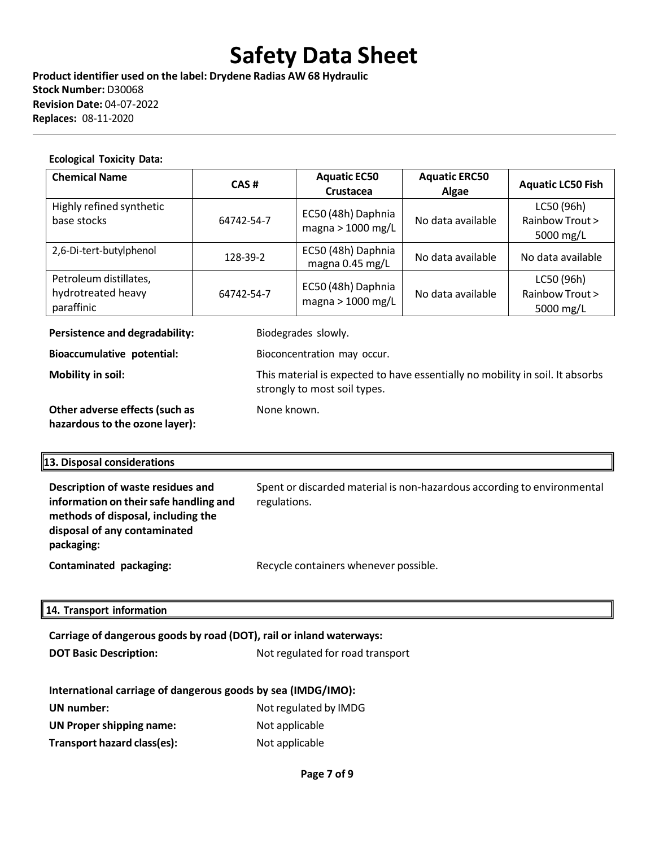**Product identifier used on the label: Drydene Radias AW 68 Hydraulic Stock Number:** D30068 **Revision Date:** 04-07-2022 **Replaces:** 08-11-2020

#### **Ecological Toxicity Data:**

| <b>Chemical Name</b>                                       | CAS#       | <b>Aquatic EC50</b><br><b>Crustacea</b> | <b>Aquatic ERC50</b><br>Algae | <b>Aquatic LC50 Fish</b>                   |
|------------------------------------------------------------|------------|-----------------------------------------|-------------------------------|--------------------------------------------|
| Highly refined synthetic<br>base stocks                    | 64742-54-7 | EC50 (48h) Daphnia<br>magna > 1000 mg/L | No data available             | LC50 (96h)<br>Rainbow Trout ><br>5000 mg/L |
| 2,6-Di-tert-butylphenol                                    | 128-39-2   | EC50 (48h) Daphnia<br>magna 0.45 mg/L   | No data available             | No data available                          |
| Petroleum distillates,<br>hydrotreated heavy<br>paraffinic | 64742-54-7 | EC50 (48h) Daphnia<br>magna > 1000 mg/L | No data available             | LC50 (96h)<br>Rainbow Trout ><br>5000 mg/L |

**Persistence and degradability:** Biodegrades slowly.

None known.

strongly to most soil types.

**Bioaccumulative potential:** Bioconcentration may occur.

**Mobility in soil:** This material is expected to have essentially no mobility in soil. It absorbs

**Other adverse effects(such as hazardousto the ozone layer):**

### **13. Disposal considerations**

| Description of waste residues and<br>information on their safe handling and<br>methods of disposal, including the<br>disposal of any contaminated<br>packaging: | Spent or discarded material is non-hazardous according to environmental<br>regulations. |
|-----------------------------------------------------------------------------------------------------------------------------------------------------------------|-----------------------------------------------------------------------------------------|
| Contaminated packaging:                                                                                                                                         | Recycle containers whenever possible.                                                   |

### **14. Transport information**

| Carriage of dangerous goods by road (DOT), rail or inland waterways: |                       |  |  |  |  |
|----------------------------------------------------------------------|-----------------------|--|--|--|--|
| <b>DOT Basic Description:</b><br>Not regulated for road transport    |                       |  |  |  |  |
| International carriage of dangerous goods by sea (IMDG/IMO):         |                       |  |  |  |  |
|                                                                      |                       |  |  |  |  |
| UN number:                                                           | Not regulated by IMDG |  |  |  |  |
| <b>UN Proper shipping name:</b>                                      | Not applicable        |  |  |  |  |
| Transport hazard class(es):                                          | Not applicable        |  |  |  |  |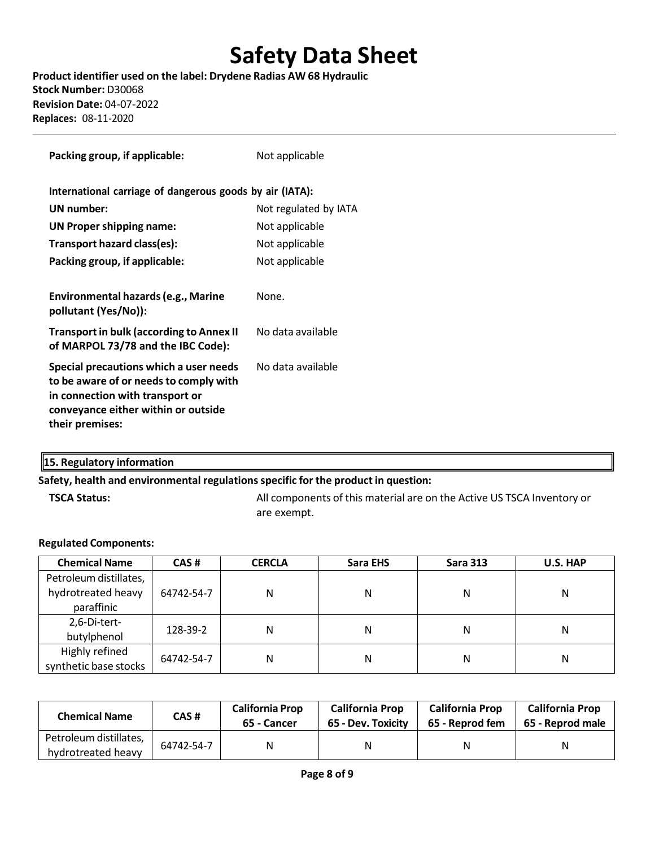**Product identifier used on the label: Drydene Radias AW 68 Hydraulic Stock Number:** D30068 **Revision Date:** 04-07-2022 **Replaces:** 08-11-2020

| Packing group, if applicable:                                                                                                                                                 | Not applicable        |
|-------------------------------------------------------------------------------------------------------------------------------------------------------------------------------|-----------------------|
| International carriage of dangerous goods by air (IATA):                                                                                                                      |                       |
| UN number:                                                                                                                                                                    | Not regulated by IATA |
| <b>UN Proper shipping name:</b>                                                                                                                                               | Not applicable        |
| Transport hazard class(es):                                                                                                                                                   | Not applicable        |
| Packing group, if applicable:                                                                                                                                                 | Not applicable        |
|                                                                                                                                                                               |                       |
| Environmental hazards (e.g., Marine<br>pollutant (Yes/No)):                                                                                                                   | None.                 |
| <b>Transport in bulk (according to Annex II</b><br>of MARPOL 73/78 and the IBC Code):                                                                                         | No data available     |
| Special precautions which a user needs<br>to be aware of or needs to comply with<br>in connection with transport or<br>conveyance either within or outside<br>their premises: | No data available     |

# **15. Regulatory information**

#### **Safety, health and environmental regulationsspecific for the product in question:**

**TSCA Status:** All components of this material are on the Active US TSCA Inventory or are exempt.

#### **Regulated Components:**

| <b>Chemical Name</b>                    | CAS#       | <b>CERCLA</b> | Sara EHS | <b>Sara 313</b> | U.S. HAP |
|-----------------------------------------|------------|---------------|----------|-----------------|----------|
| Petroleum distillates,                  |            |               |          |                 |          |
| hydrotreated heavy                      | 64742-54-7 | Ν             | N        | N               | Ν        |
| paraffinic                              |            |               |          |                 |          |
| 2,6-Di-tert-                            |            | N             | Ν        | N               | Ν        |
| butylphenol                             | 128-39-2   |               |          |                 |          |
| Highly refined<br>synthetic base stocks | 64742-54-7 | N             | N        | N               | Ν        |

| <b>Chemical Name</b>                         | CAS #      | <b>California Prop</b><br>65 - Cancer | <b>California Prop</b><br>65 - Dev. Toxicity | <b>California Prop</b><br>65 - Reprod fem | <b>California Prop</b><br>65 - Reprod male |
|----------------------------------------------|------------|---------------------------------------|----------------------------------------------|-------------------------------------------|--------------------------------------------|
| Petroleum distillates,<br>hydrotreated heavy | 64742-54-7 | N                                     | Ν                                            | Ν                                         | Ν                                          |